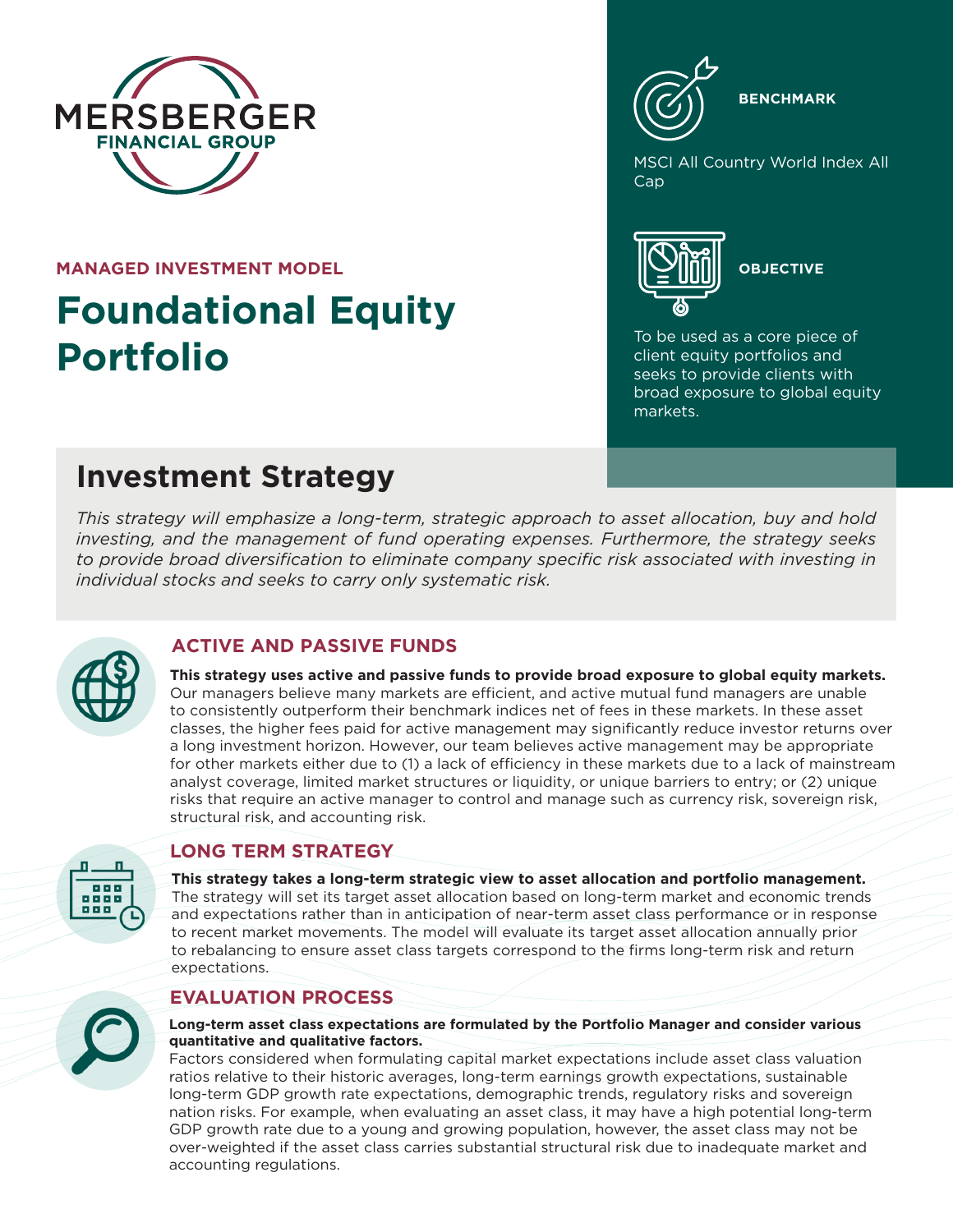

**MANAGED INVESTMENT MODEL**

# **Foundational Equity Portfolio**



**BENCHMARK**

**MSCI All Country World Index All** Cap



To be used as a core piece of client equity portfolios and seeks to provide clients with broad exposure to global equity markets.

# **Investment Strategy**

*This strategy will emphasize a long-term, strategic approach to asset allocation, buy and hold investing, and the management of fund operating expenses. Furthermore, the strategy seeks to provide broad diversification to eliminate company specific risk associated with investing in individual stocks and seeks to carry only systematic risk.*



# **ACTIVE AND PASSIVE FUNDS**

**This strategy uses active and passive funds to provide broad exposure to global equity markets.** Our managers believe many markets are efficient, and active mutual fund managers are unable to consistently outperform their benchmark indices net of fees in these markets. In these asset classes, the higher fees paid for active management may significantly reduce investor returns over a long investment horizon. However, our team believes active management may be appropriate for other markets either due to (1) a lack of efficiency in these markets due to a lack of mainstream analyst coverage, limited market structures or liquidity, or unique barriers to entry; or (2) unique risks that require an active manager to control and manage such as currency risk, sovereign risk, structural risk, and accounting risk.



### **LONG TERM STRATEGY**

**This strategy takes a long-term strategic view to asset allocation and portfolio management.** The strategy will set its target asset allocation based on long-term market and economic trends and expectations rather than in anticipation of near-term asset class performance or in response to recent market movements. The model will evaluate its target asset allocation annually prior to rebalancing to ensure asset class targets correspond to the firms long-term risk and return expectations.

# **EVALUATION PROCESS**



#### **Long-term asset class expectations are formulated by the Portfolio Manager and consider various quantitative and qualitative factors.**

Factors considered when formulating capital market expectations include asset class valuation ratios relative to their historic averages, long-term earnings growth expectations, sustainable long-term GDP growth rate expectations, demographic trends, regulatory risks and sovereign nation risks. For example, when evaluating an asset class, it may have a high potential long-term GDP growth rate due to a young and growing population, however, the asset class may not be over-weighted if the asset class carries substantial structural risk due to inadequate market and accounting regulations.